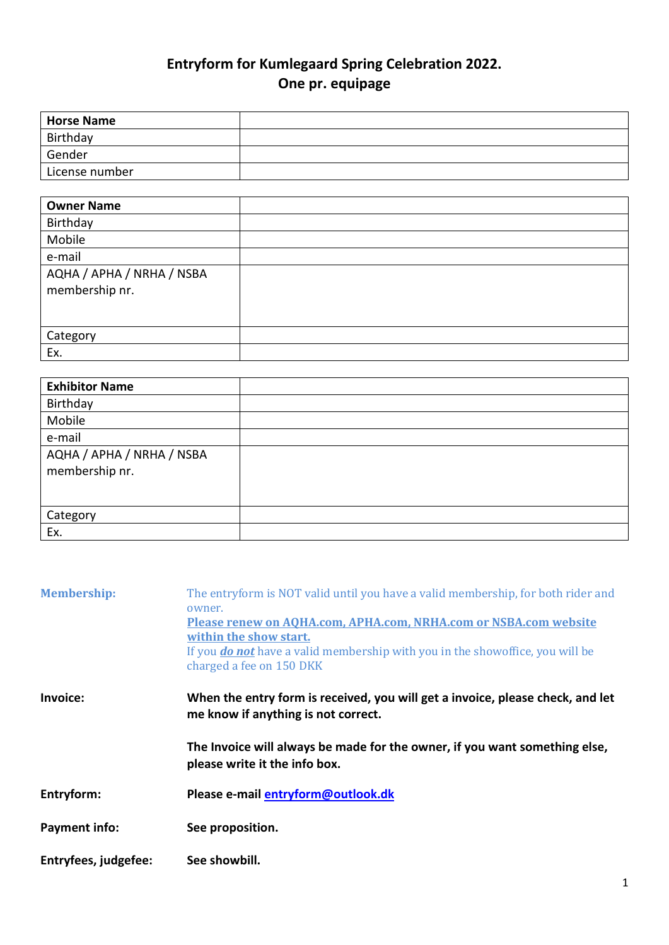## **Entryform for Kumlegaard Spring Celebration 2022. One pr. equipage**

| <b>Horse Name</b> |  |
|-------------------|--|
| Birthday          |  |
| Gender            |  |
| License number    |  |

| <b>Owner Name</b>                           |  |
|---------------------------------------------|--|
| Birthday                                    |  |
| Mobile                                      |  |
| e-mail                                      |  |
| AQHA / APHA / NRHA / NSBA<br>membership nr. |  |
| Category                                    |  |
| Ex.                                         |  |

| <b>Exhibitor Name</b>     |  |
|---------------------------|--|
| Birthday                  |  |
| Mobile                    |  |
| e-mail                    |  |
| AQHA / APHA / NRHA / NSBA |  |
| membership nr.            |  |
|                           |  |
|                           |  |
| Category                  |  |
| Ex.                       |  |

| <b>Membership:</b>   | The entryform is NOT valid until you have a valid membership, for both rider and<br>owner.<br>Please renew on AQHA.com, APHA.com, NRHA.com or NSBA.com website<br>within the show start.<br>If you <b>do not</b> have a valid membership with you in the showoffice, you will be<br>charged a fee on 150 DKK |
|----------------------|--------------------------------------------------------------------------------------------------------------------------------------------------------------------------------------------------------------------------------------------------------------------------------------------------------------|
| Invoice:             | When the entry form is received, you will get a invoice, please check, and let<br>me know if anything is not correct.                                                                                                                                                                                        |
|                      | The Invoice will always be made for the owner, if you want something else,<br>please write it the info box.                                                                                                                                                                                                  |
| Entryform:           | Please e-mail entryform@outlook.dk                                                                                                                                                                                                                                                                           |
| <b>Payment info:</b> | See proposition.                                                                                                                                                                                                                                                                                             |
| Entryfees, judgefee: | See showbill.                                                                                                                                                                                                                                                                                                |